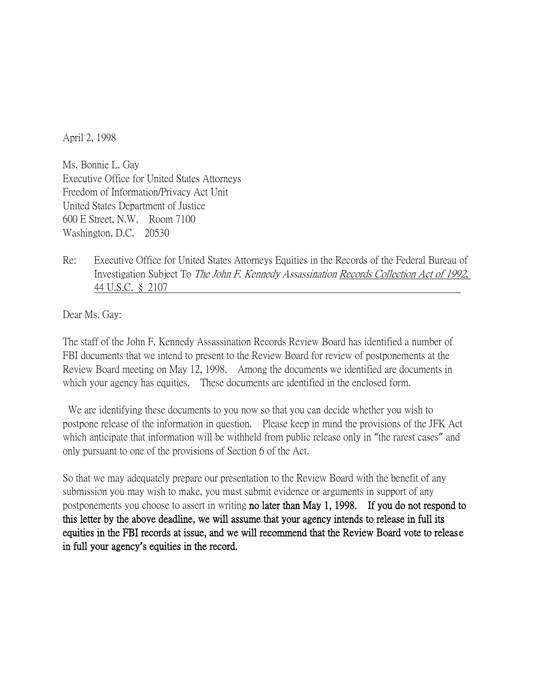April 2, 1998

Ms. Bonnie L. Gay Executive Office for United States Attorneys Freedom of Information/Privacy Act Unit United States Department of Justice 600 E Street, N.W. Room 7100 Washington, D.C. 20530

Re: Executive Office for United States Attorneys Equities in the Records of the Federal Bureau of Investigation Subject To The John F. Kennedy Assassination Records Collection Act of 1992, 44 U.S.C. § 2107

Dear Ms. Gay:

The staff of the John F. Kennedy Assassination Records Review Board has identified a number of FBI documents that we intend to present to the Review Board for review of postponements at the Review Board meeting on May 12, 1998. Among the documents we identified are documents in which your agency has equities. These documents are identified in the enclosed form.

We are identifying these documents to you now so that you can decide whether you wish to postpone release of the information in question. Please keep in mind the provisions of the JFK Act which anticipate that information will be withheld from public release only in "the rarest cases" and only pursuant to one of the provisions of Section 6 of the Act.

So that we may adequately prepare our presentation to the Review Board with the benefit of any submission you may wish to make, you must submit evidence or arguments in support of any postponements you choose to assert in writing no later than May 1, 1998. If you do not respond to this letter by the above deadline, we will assume that your agency intends to release in full its equities in the FBI records at issue, and we will recommend that the Review Board vote to releas e in full your agency**'**s equities in the record.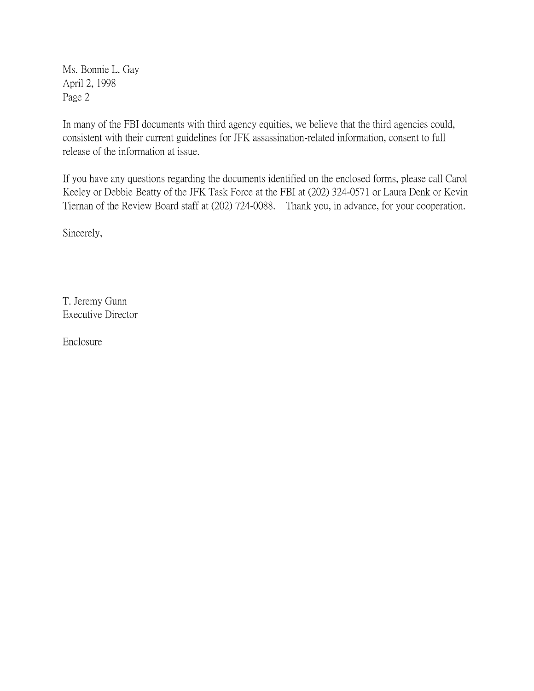Ms. Bonnie L. Gay April 2, 1998 Page 2

In many of the FBI documents with third agency equities, we believe that the third agencies could, consistent with their current guidelines for JFK assassination-related information, consent to full release of the information at issue.

If you have any questions regarding the documents identified on the enclosed forms, please call Carol Keeley or Debbie Beatty of the JFK Task Force at the FBI at (202) 324-0571 or Laura Denk or Kevin Tiernan of the Review Board staff at (202) 724-0088. Thank you, in advance, for your cooperation.

Sincerely,

T. Jeremy Gunn Executive Director

Enclosure